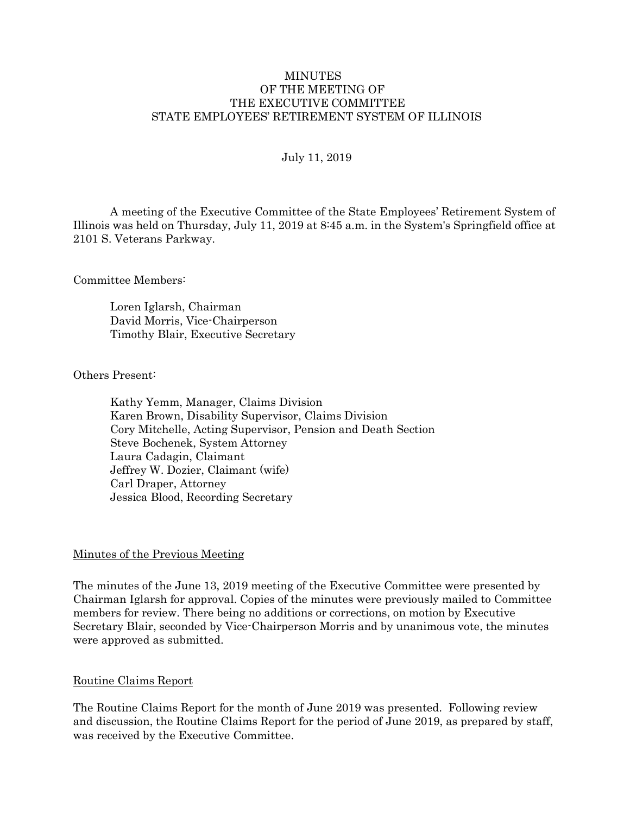#### **MINUTES** OF THE MEETING OF THE EXECUTIVE COMMITTEE STATE EMPLOYEES' RETIREMENT SYSTEM OF ILLINOIS

#### July 11, 2019

A meeting of the Executive Committee of the State Employees' Retirement System of Illinois was held on Thursday, July 11, 2019 at 8:45 a.m. in the System's Springfield office at 2101 S. Veterans Parkway.

Committee Members:

Loren Iglarsh, Chairman David Morris, Vice-Chairperson Timothy Blair, Executive Secretary

Others Present:

Kathy Yemm, Manager, Claims Division Karen Brown, Disability Supervisor, Claims Division Cory Mitchelle, Acting Supervisor, Pension and Death Section Steve Bochenek, System Attorney Laura Cadagin, Claimant Jeffrey W. Dozier, Claimant (wife) Carl Draper, Attorney Jessica Blood, Recording Secretary

#### Minutes of the Previous Meeting

The minutes of the June 13, 2019 meeting of the Executive Committee were presented by Chairman Iglarsh for approval. Copies of the minutes were previously mailed to Committee members for review. There being no additions or corrections, on motion by Executive Secretary Blair, seconded by Vice-Chairperson Morris and by unanimous vote, the minutes were approved as submitted.

#### Routine Claims Report

The Routine Claims Report for the month of June 2019 was presented. Following review and discussion, the Routine Claims Report for the period of June 2019, as prepared by staff, was received by the Executive Committee.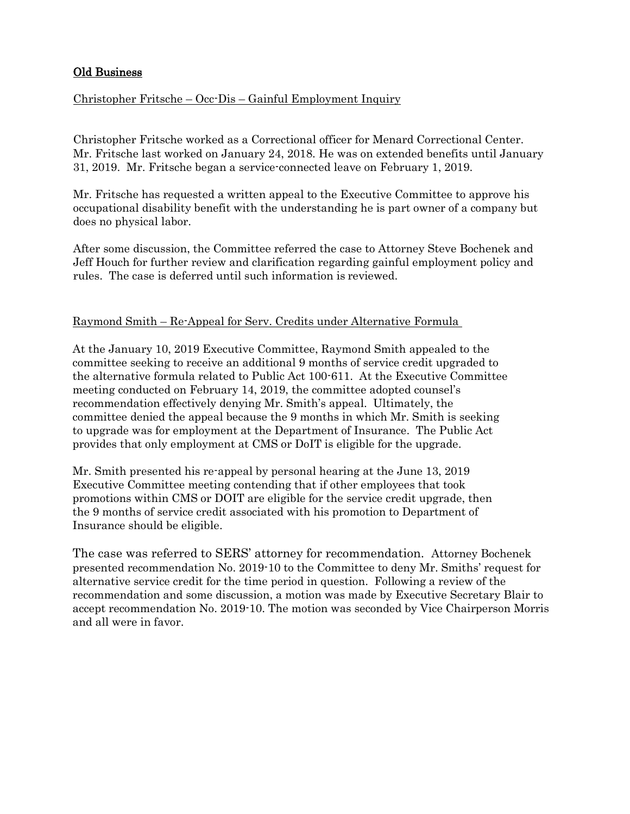# Old Business

## Christopher Fritsche – Occ-Dis – Gainful Employment Inquiry

Christopher Fritsche worked as a Correctional officer for Menard Correctional Center. Mr. Fritsche last worked on January 24, 2018. He was on extended benefits until January 31, 2019. Mr. Fritsche began a service-connected leave on February 1, 2019.

Mr. Fritsche has requested a written appeal to the Executive Committee to approve his occupational disability benefit with the understanding he is part owner of a company but does no physical labor.

After some discussion, the Committee referred the case to Attorney Steve Bochenek and Jeff Houch for further review and clarification regarding gainful employment policy and rules. The case is deferred until such information is reviewed.

#### Raymond Smith – Re-Appeal for Serv. Credits under Alternative Formula

At the January 10, 2019 Executive Committee, Raymond Smith appealed to the committee seeking to receive an additional 9 months of service credit upgraded to the alternative formula related to Public Act 100-611. At the Executive Committee meeting conducted on February 14, 2019, the committee adopted counsel's recommendation effectively denying Mr. Smith's appeal. Ultimately, the committee denied the appeal because the 9 months in which Mr. Smith is seeking to upgrade was for employment at the Department of Insurance. The Public Act provides that only employment at CMS or DoIT is eligible for the upgrade.

Mr. Smith presented his re-appeal by personal hearing at the June 13, 2019 Executive Committee meeting contending that if other employees that took promotions within CMS or DOIT are eligible for the service credit upgrade, then the 9 months of service credit associated with his promotion to Department of Insurance should be eligible.

The case was referred to SERS' attorney for recommendation. Attorney Bochenek presented recommendation No. 2019-10 to the Committee to deny Mr. Smiths' request for alternative service credit for the time period in question. Following a review of the recommendation and some discussion, a motion was made by Executive Secretary Blair to accept recommendation No. 2019-10. The motion was seconded by Vice Chairperson Morris and all were in favor.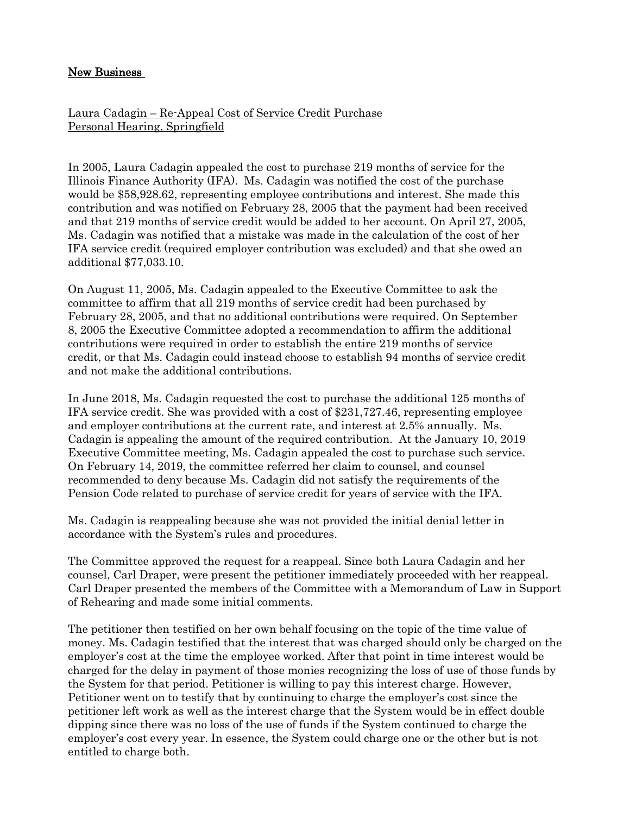## New Business

Laura Cadagin – Re-Appeal Cost of Service Credit Purchase Personal Hearing, Springfield

In 2005, Laura Cadagin appealed the cost to purchase 219 months of service for the Illinois Finance Authority (IFA). Ms. Cadagin was notified the cost of the purchase would be \$58,928.62, representing employee contributions and interest. She made this contribution and was notified on February 28, 2005 that the payment had been received and that 219 months of service credit would be added to her account. On April 27, 2005, Ms. Cadagin was notified that a mistake was made in the calculation of the cost of her IFA service credit (required employer contribution was excluded) and that she owed an additional \$77,033.10.

On August 11, 2005, Ms. Cadagin appealed to the Executive Committee to ask the committee to affirm that all 219 months of service credit had been purchased by February 28, 2005, and that no additional contributions were required. On September 8, 2005 the Executive Committee adopted a recommendation to affirm the additional contributions were required in order to establish the entire 219 months of service credit, or that Ms. Cadagin could instead choose to establish 94 months of service credit and not make the additional contributions.

In June 2018, Ms. Cadagin requested the cost to purchase the additional 125 months of IFA service credit. She was provided with a cost of \$231,727.46, representing employee and employer contributions at the current rate, and interest at 2.5% annually. Ms. Cadagin is appealing the amount of the required contribution. At the January 10, 2019 Executive Committee meeting, Ms. Cadagin appealed the cost to purchase such service. On February 14, 2019, the committee referred her claim to counsel, and counsel recommended to deny because Ms. Cadagin did not satisfy the requirements of the Pension Code related to purchase of service credit for years of service with the IFA.

Ms. Cadagin is reappealing because she was not provided the initial denial letter in accordance with the System's rules and procedures.

The Committee approved the request for a reappeal. Since both Laura Cadagin and her counsel, Carl Draper, were present the petitioner immediately proceeded with her reappeal. Carl Draper presented the members of the Committee with a Memorandum of Law in Support of Rehearing and made some initial comments.

The petitioner then testified on her own behalf focusing on the topic of the time value of money. Ms. Cadagin testified that the interest that was charged should only be charged on the employer's cost at the time the employee worked. After that point in time interest would be charged for the delay in payment of those monies recognizing the loss of use of those funds by the System for that period. Petitioner is willing to pay this interest charge. However, Petitioner went on to testify that by continuing to charge the employer's cost since the petitioner left work as well as the interest charge that the System would be in effect double dipping since there was no loss of the use of funds if the System continued to charge the employer's cost every year. In essence, the System could charge one or the other but is not entitled to charge both.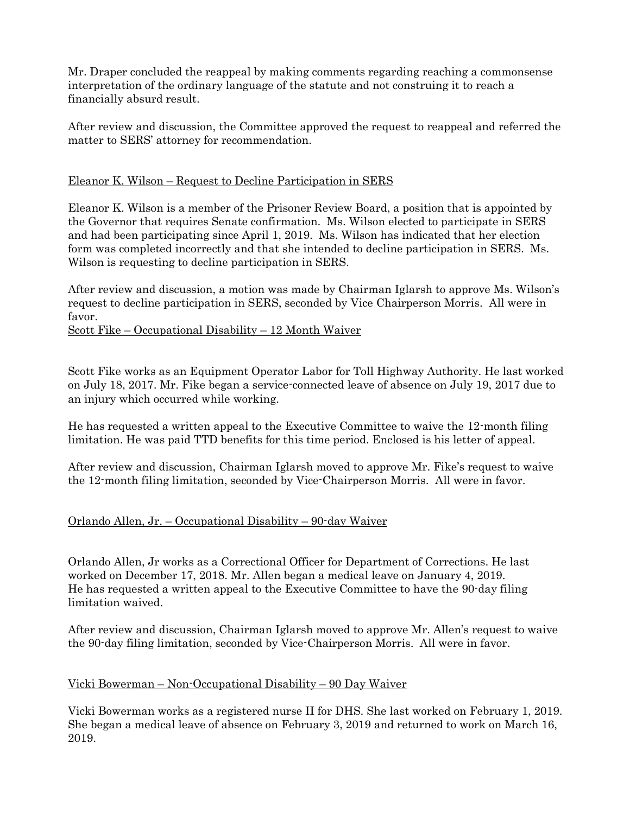Mr. Draper concluded the reappeal by making comments regarding reaching a commonsense interpretation of the ordinary language of the statute and not construing it to reach a financially absurd result.

After review and discussion, the Committee approved the request to reappeal and referred the matter to SERS' attorney for recommendation.

## Eleanor K. Wilson – Request to Decline Participation in SERS

Eleanor K. Wilson is a member of the Prisoner Review Board, a position that is appointed by the Governor that requires Senate confirmation. Ms. Wilson elected to participate in SERS and had been participating since April 1, 2019. Ms. Wilson has indicated that her election form was completed incorrectly and that she intended to decline participation in SERS. Ms. Wilson is requesting to decline participation in SERS.

After review and discussion, a motion was made by Chairman Iglarsh to approve Ms. Wilson's request to decline participation in SERS, seconded by Vice Chairperson Morris. All were in favor.

## Scott Fike – Occupational Disability – 12 Month Waiver

Scott Fike works as an Equipment Operator Labor for Toll Highway Authority. He last worked on July 18, 2017. Mr. Fike began a service-connected leave of absence on July 19, 2017 due to an injury which occurred while working.

He has requested a written appeal to the Executive Committee to waive the 12-month filing limitation. He was paid TTD benefits for this time period. Enclosed is his letter of appeal.

After review and discussion, Chairman Iglarsh moved to approve Mr. Fike's request to waive the 12-month filing limitation, seconded by Vice-Chairperson Morris. All were in favor.

# Orlando Allen, Jr. – Occupational Disability – 90-day Waiver

Orlando Allen, Jr works as a Correctional Officer for Department of Corrections. He last worked on December 17, 2018. Mr. Allen began a medical leave on January 4, 2019. He has requested a written appeal to the Executive Committee to have the 90-day filing limitation waived.

After review and discussion, Chairman Iglarsh moved to approve Mr. Allen's request to waive the 90-day filing limitation, seconded by Vice-Chairperson Morris. All were in favor.

## Vicki Bowerman – Non-Occupational Disability – 90 Day Waiver

Vicki Bowerman works as a registered nurse II for DHS. She last worked on February 1, 2019. She began a medical leave of absence on February 3, 2019 and returned to work on March 16, 2019.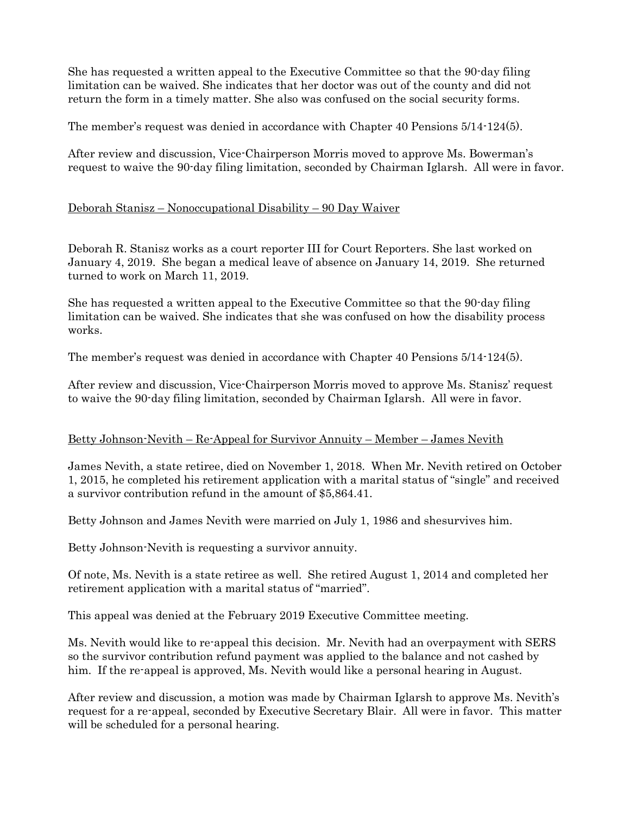She has requested a written appeal to the Executive Committee so that the 90-day filing limitation can be waived. She indicates that her doctor was out of the county and did not return the form in a timely matter. She also was confused on the social security forms.

The member's request was denied in accordance with Chapter 40 Pensions 5/14-124(5).

After review and discussion, Vice-Chairperson Morris moved to approve Ms. Bowerman's request to waive the 90-day filing limitation, seconded by Chairman Iglarsh. All were in favor.

## Deborah Stanisz – Nonoccupational Disability – 90 Day Waiver

Deborah R. Stanisz works as a court reporter III for Court Reporters. She last worked on January 4, 2019. She began a medical leave of absence on January 14, 2019. She returned turned to work on March 11, 2019.

She has requested a written appeal to the Executive Committee so that the 90-day filing limitation can be waived. She indicates that she was confused on how the disability process works.

The member's request was denied in accordance with Chapter 40 Pensions 5/14-124(5).

After review and discussion, Vice-Chairperson Morris moved to approve Ms. Stanisz' request to waive the 90-day filing limitation, seconded by Chairman Iglarsh. All were in favor.

## Betty Johnson-Nevith – Re-Appeal for Survivor Annuity – Member – James Nevith

James Nevith, a state retiree, died on November 1, 2018. When Mr. Nevith retired on October 1, 2015, he completed his retirement application with a marital status of "single" and received a survivor contribution refund in the amount of \$5,864.41.

Betty Johnson and James Nevith were married on July 1, 1986 and shesurvives him.

Betty Johnson-Nevith is requesting a survivor annuity.

Of note, Ms. Nevith is a state retiree as well. She retired August 1, 2014 and completed her retirement application with a marital status of "married".

This appeal was denied at the February 2019 Executive Committee meeting.

Ms. Nevith would like to re-appeal this decision. Mr. Nevith had an overpayment with SERS so the survivor contribution refund payment was applied to the balance and not cashed by him. If the re-appeal is approved, Ms. Nevith would like a personal hearing in August.

After review and discussion, a motion was made by Chairman Iglarsh to approve Ms. Nevith's request for a re-appeal, seconded by Executive Secretary Blair. All were in favor. This matter will be scheduled for a personal hearing.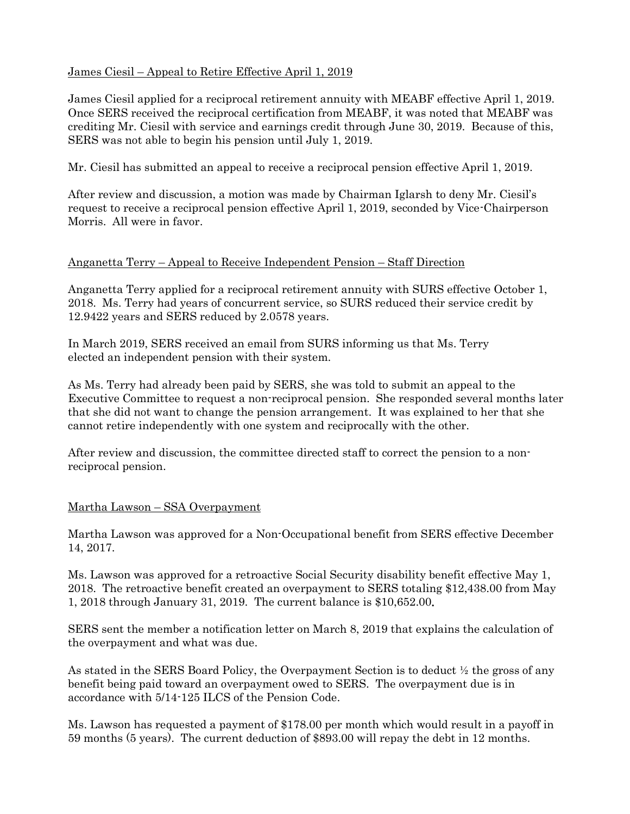## James Ciesil – Appeal to Retire Effective April 1, 2019

James Ciesil applied for a reciprocal retirement annuity with MEABF effective April 1, 2019. Once SERS received the reciprocal certification from MEABF, it was noted that MEABF was crediting Mr. Ciesil with service and earnings credit through June 30, 2019. Because of this, SERS was not able to begin his pension until July 1, 2019.

Mr. Ciesil has submitted an appeal to receive a reciprocal pension effective April 1, 2019.

After review and discussion, a motion was made by Chairman Iglarsh to deny Mr. Ciesil's request to receive a reciprocal pension effective April 1, 2019, seconded by Vice-Chairperson Morris. All were in favor.

#### Anganetta Terry – Appeal to Receive Independent Pension – Staff Direction

Anganetta Terry applied for a reciprocal retirement annuity with SURS effective October 1, 2018. Ms. Terry had years of concurrent service, so SURS reduced their service credit by 12.9422 years and SERS reduced by 2.0578 years.

In March 2019, SERS received an email from SURS informing us that Ms. Terry elected an independent pension with their system.

As Ms. Terry had already been paid by SERS, she was told to submit an appeal to the Executive Committee to request a non-reciprocal pension. She responded several months later that she did not want to change the pension arrangement. It was explained to her that she cannot retire independently with one system and reciprocally with the other.

After review and discussion, the committee directed staff to correct the pension to a nonreciprocal pension.

## Martha Lawson – SSA Overpayment

Martha Lawson was approved for a Non-Occupational benefit from SERS effective December 14, 2017.

Ms. Lawson was approved for a retroactive Social Security disability benefit effective May 1, 2018. The retroactive benefit created an overpayment to SERS totaling \$12,438.00 from May 1, 2018 through January 31, 2019. The current balance is \$10,652.00.

SERS sent the member a notification letter on March 8, 2019 that explains the calculation of the overpayment and what was due.

As stated in the SERS Board Policy, the Overpayment Section is to deduct ½ the gross of any benefit being paid toward an overpayment owed to SERS. The overpayment due is in accordance with 5/14-125 ILCS of the Pension Code.

Ms. Lawson has requested a payment of \$178.00 per month which would result in a payoff in 59 months (5 years). The current deduction of \$893.00 will repay the debt in 12 months.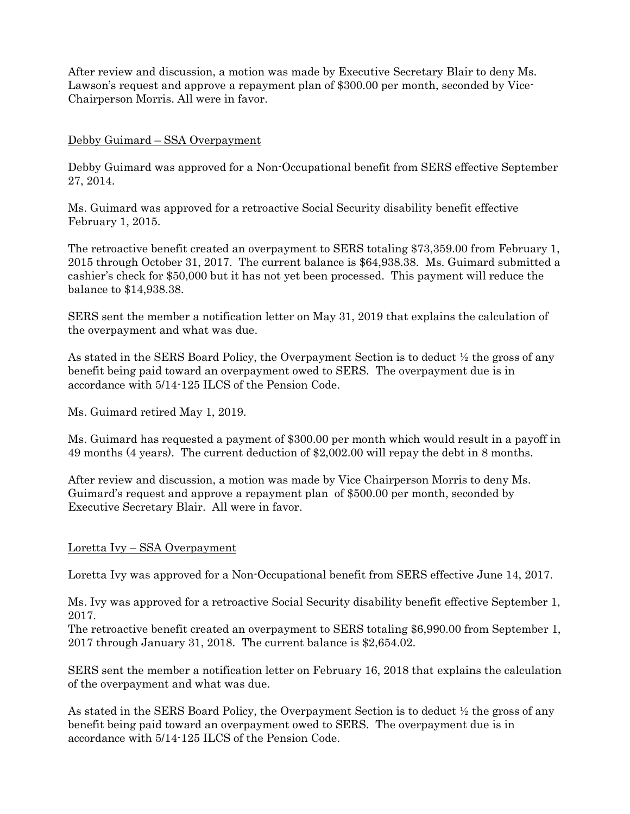After review and discussion, a motion was made by Executive Secretary Blair to deny Ms. Lawson's request and approve a repayment plan of \$300.00 per month, seconded by Vice-Chairperson Morris. All were in favor.

## Debby Guimard – SSA Overpayment

Debby Guimard was approved for a Non-Occupational benefit from SERS effective September 27, 2014.

Ms. Guimard was approved for a retroactive Social Security disability benefit effective February 1, 2015.

The retroactive benefit created an overpayment to SERS totaling \$73,359.00 from February 1, 2015 through October 31, 2017. The current balance is \$64,938.38. Ms. Guimard submitted a cashier's check for \$50,000 but it has not yet been processed. This payment will reduce the balance to \$14,938.38.

SERS sent the member a notification letter on May 31, 2019 that explains the calculation of the overpayment and what was due.

As stated in the SERS Board Policy, the Overpayment Section is to deduct ½ the gross of any benefit being paid toward an overpayment owed to SERS. The overpayment due is in accordance with 5/14-125 ILCS of the Pension Code.

Ms. Guimard retired May 1, 2019.

Ms. Guimard has requested a payment of \$300.00 per month which would result in a payoff in 49 months (4 years). The current deduction of \$2,002.00 will repay the debt in 8 months.

After review and discussion, a motion was made by Vice Chairperson Morris to deny Ms. Guimard's request and approve a repayment plan of \$500.00 per month, seconded by Executive Secretary Blair. All were in favor.

## Loretta Ivy – SSA Overpayment

Loretta Ivy was approved for a Non-Occupational benefit from SERS effective June 14, 2017.

Ms. Ivy was approved for a retroactive Social Security disability benefit effective September 1, 2017.

The retroactive benefit created an overpayment to SERS totaling \$6,990.00 from September 1, 2017 through January 31, 2018. The current balance is \$2,654.02.

SERS sent the member a notification letter on February 16, 2018 that explains the calculation of the overpayment and what was due.

As stated in the SERS Board Policy, the Overpayment Section is to deduct ½ the gross of any benefit being paid toward an overpayment owed to SERS. The overpayment due is in accordance with 5/14-125 ILCS of the Pension Code.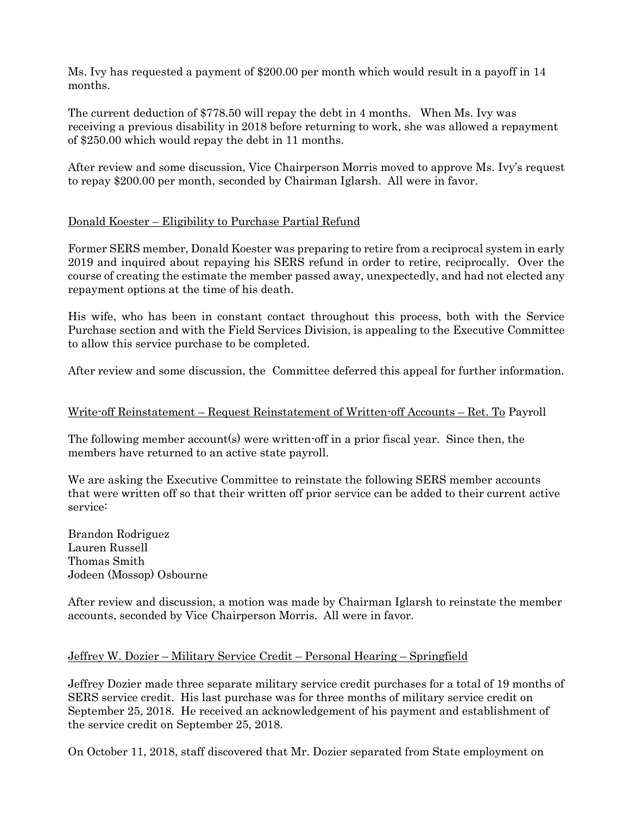Ms. Ivy has requested a payment of \$200.00 per month which would result in a payoff in 14 months.

The current deduction of \$778.50 will repay the debt in 4 months. When Ms. Ivy was receiving a previous disability in 2018 before returning to work, she was allowed a repayment of \$250.00 which would repay the debt in 11 months.

After review and some discussion, Vice Chairperson Morris moved to approve Ms. Ivy's request to repay \$200.00 per month, seconded by Chairman Iglarsh. All were in favor.

## Donald Koester – Eligibility to Purchase Partial Refund

Former SERS member, Donald Koester was preparing to retire from a reciprocal system in early 2019 and inquired about repaying his SERS refund in order to retire, reciprocally. Over the course of creating the estimate the member passed away, unexpectedly, and had not elected any repayment options at the time of his death.

His wife, who has been in constant contact throughout this process, both with the Service Purchase section and with the Field Services Division, is appealing to the Executive Committee to allow this service purchase to be completed.

After review and some discussion, the Committee deferred this appeal for further information.

## Write-off Reinstatement – Request Reinstatement of Written-off Accounts – Ret. To Payroll

The following member account(s) were written-off in a prior fiscal year. Since then, the members have returned to an active state payroll.

We are asking the Executive Committee to reinstate the following SERS member accounts that were written off so that their written off prior service can be added to their current active service:

Brandon Rodriguez Lauren Russell Thomas Smith Jodeen (Mossop) Osbourne

After review and discussion, a motion was made by Chairman Iglarsh to reinstate the member accounts, seconded by Vice Chairperson Morris. All were in favor.

## Jeffrey W. Dozier – Military Service Credit – Personal Hearing – Springfield

Jeffrey Dozier made three separate military service credit purchases for a total of 19 months of SERS service credit. His last purchase was for three months of military service credit on September 25, 2018. He received an acknowledgement of his payment and establishment of the service credit on September 25, 2018.

On October 11, 2018, staff discovered that Mr. Dozier separated from State employment on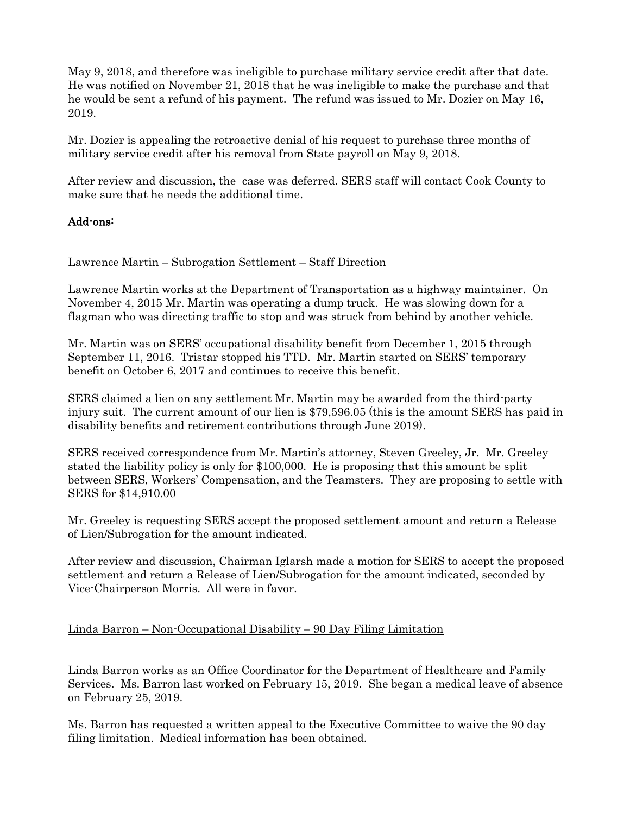May 9, 2018, and therefore was ineligible to purchase military service credit after that date. He was notified on November 21, 2018 that he was ineligible to make the purchase and that he would be sent a refund of his payment. The refund was issued to Mr. Dozier on May 16, 2019.

Mr. Dozier is appealing the retroactive denial of his request to purchase three months of military service credit after his removal from State payroll on May 9, 2018.

After review and discussion, the case was deferred. SERS staff will contact Cook County to make sure that he needs the additional time.

# Add-ons:

#### Lawrence Martin – Subrogation Settlement – Staff Direction

Lawrence Martin works at the Department of Transportation as a highway maintainer. On November 4, 2015 Mr. Martin was operating a dump truck. He was slowing down for a flagman who was directing traffic to stop and was struck from behind by another vehicle.

Mr. Martin was on SERS' occupational disability benefit from December 1, 2015 through September 11, 2016. Tristar stopped his TTD. Mr. Martin started on SERS' temporary benefit on October 6, 2017 and continues to receive this benefit.

SERS claimed a lien on any settlement Mr. Martin may be awarded from the third-party injury suit. The current amount of our lien is \$79,596.05 (this is the amount SERS has paid in disability benefits and retirement contributions through June 2019).

SERS received correspondence from Mr. Martin's attorney, Steven Greeley, Jr. Mr. Greeley stated the liability policy is only for \$100,000. He is proposing that this amount be split between SERS, Workers' Compensation, and the Teamsters. They are proposing to settle with SERS for \$14,910.00

Mr. Greeley is requesting SERS accept the proposed settlement amount and return a Release of Lien/Subrogation for the amount indicated.

After review and discussion, Chairman Iglarsh made a motion for SERS to accept the proposed settlement and return a Release of Lien/Subrogation for the amount indicated, seconded by Vice-Chairperson Morris. All were in favor.

## Linda Barron – Non-Occupational Disability – 90 Day Filing Limitation

Linda Barron works as an Office Coordinator for the Department of Healthcare and Family Services. Ms. Barron last worked on February 15, 2019. She began a medical leave of absence on February 25, 2019.

Ms. Barron has requested a written appeal to the Executive Committee to waive the 90 day filing limitation. Medical information has been obtained.